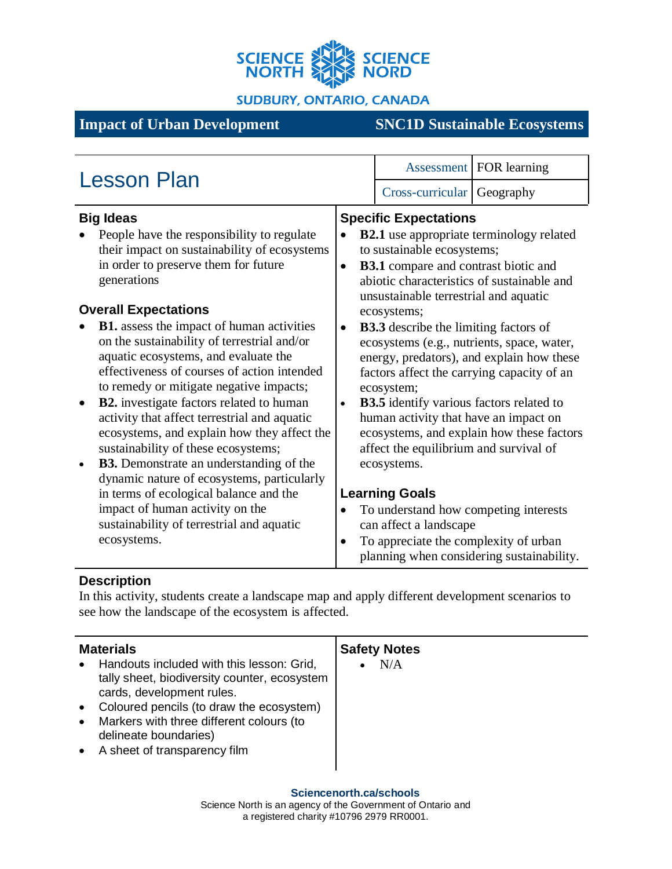

**SUDBURY, ONTARIO, CANADA** 

# **Impact of Urban Development SNC1D Sustainable Ecosystems**

| <b>Lesson Plan</b>                                                                                                                                                                                                                                                                                                                                                                                                                                                                                                                                   |                                                                                                                                                                                                                     |                                                                                                                                                                                                                                                                                                                                                                                                       | Assessment   FOR learning                 |  |
|------------------------------------------------------------------------------------------------------------------------------------------------------------------------------------------------------------------------------------------------------------------------------------------------------------------------------------------------------------------------------------------------------------------------------------------------------------------------------------------------------------------------------------------------------|---------------------------------------------------------------------------------------------------------------------------------------------------------------------------------------------------------------------|-------------------------------------------------------------------------------------------------------------------------------------------------------------------------------------------------------------------------------------------------------------------------------------------------------------------------------------------------------------------------------------------------------|-------------------------------------------|--|
|                                                                                                                                                                                                                                                                                                                                                                                                                                                                                                                                                      |                                                                                                                                                                                                                     | Cross-curricular                                                                                                                                                                                                                                                                                                                                                                                      | Geography                                 |  |
| <b>Big Ideas</b><br>People have the responsibility to regulate                                                                                                                                                                                                                                                                                                                                                                                                                                                                                       |                                                                                                                                                                                                                     | <b>Specific Expectations</b>                                                                                                                                                                                                                                                                                                                                                                          |                                           |  |
| their impact on sustainability of ecosystems<br>in order to preserve them for future<br>generations                                                                                                                                                                                                                                                                                                                                                                                                                                                  | <b>B2.1</b> use appropriate terminology related<br>to sustainable ecosystems;<br><b>B3.1</b> compare and contrast biotic and<br>abiotic characteristics of sustainable and<br>unsustainable terrestrial and aquatic |                                                                                                                                                                                                                                                                                                                                                                                                       |                                           |  |
| <b>Overall Expectations</b>                                                                                                                                                                                                                                                                                                                                                                                                                                                                                                                          | ecosystems;                                                                                                                                                                                                         |                                                                                                                                                                                                                                                                                                                                                                                                       |                                           |  |
| <b>B1.</b> assess the impact of human activities<br>on the sustainability of terrestrial and/or<br>aquatic ecosystems, and evaluate the<br>effectiveness of courses of action intended<br>to remedy or mitigate negative impacts;<br><b>B2.</b> investigate factors related to human<br>$\bullet$<br>activity that affect terrestrial and aquatic<br>ecosystems, and explain how they affect the<br>sustainability of these ecosystems;<br><b>B3.</b> Demonstrate an understanding of the<br>$\bullet$<br>dynamic nature of ecosystems, particularly | $\bullet$<br>$\bullet$                                                                                                                                                                                              | <b>B3.3</b> describe the limiting factors of<br>ecosystems (e.g., nutrients, space, water,<br>energy, predators), and explain how these<br>factors affect the carrying capacity of an<br>ecosystem;<br><b>B3.5</b> identify various factors related to<br>human activity that have an impact on<br>ecosystems, and explain how these factors<br>affect the equilibrium and survival of<br>ecosystems. |                                           |  |
| in terms of ecological balance and the                                                                                                                                                                                                                                                                                                                                                                                                                                                                                                               |                                                                                                                                                                                                                     | <b>Learning Goals</b>                                                                                                                                                                                                                                                                                                                                                                                 |                                           |  |
| impact of human activity on the<br>sustainability of terrestrial and aquatic                                                                                                                                                                                                                                                                                                                                                                                                                                                                         |                                                                                                                                                                                                                     | To understand how competing interests<br>can affect a landscape                                                                                                                                                                                                                                                                                                                                       |                                           |  |
| ecosystems.                                                                                                                                                                                                                                                                                                                                                                                                                                                                                                                                          |                                                                                                                                                                                                                     | To appreciate the complexity of urban                                                                                                                                                                                                                                                                                                                                                                 | planning when considering sustainability. |  |

## **Description**

In this activity, students create a landscape map and apply different development scenarios to see how the landscape of the ecosystem is affected.

| <b>Materials</b>                                                                                                                                                                                                                                                                                                 | <b>Safety Notes</b> |
|------------------------------------------------------------------------------------------------------------------------------------------------------------------------------------------------------------------------------------------------------------------------------------------------------------------|---------------------|
| Handouts included with this lesson: Grid,<br>$\bullet$<br>tally sheet, biodiversity counter, ecosystem<br>cards, development rules.<br>Coloured pencils (to draw the ecosystem)<br>$\bullet$<br>Markers with three different colours (to<br>$\bullet$<br>delineate boundaries)<br>• A sheet of transparency film | N/A                 |
|                                                                                                                                                                                                                                                                                                                  |                     |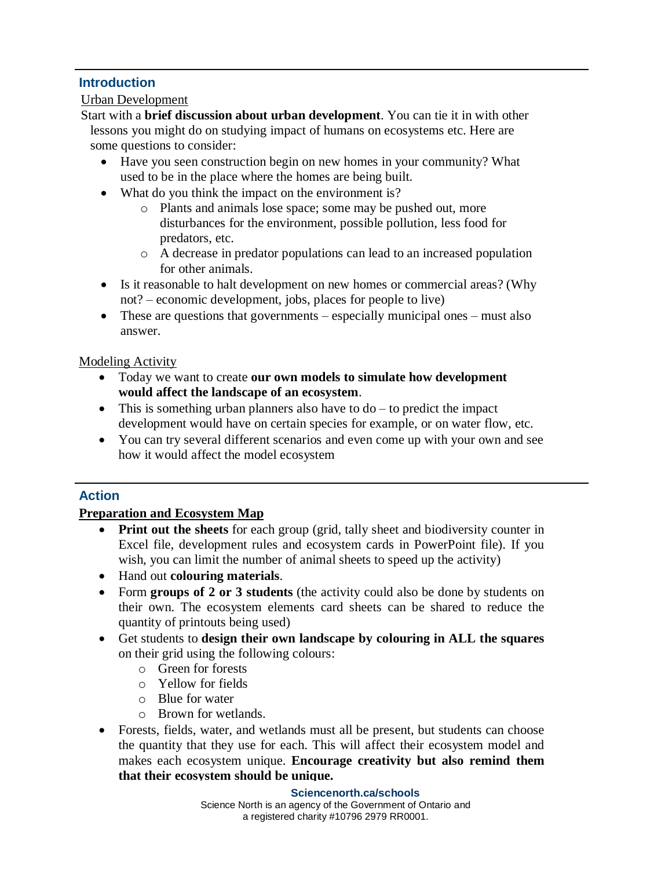## **Introduction**

#### Urban Development

Start with a **brief discussion about urban development**. You can tie it in with other lessons you might do on studying impact of humans on ecosystems etc. Here are some questions to consider:

- Have you seen construction begin on new homes in your community? What used to be in the place where the homes are being built.
- What do you think the impact on the environment is?
	- o Plants and animals lose space; some may be pushed out, more disturbances for the environment, possible pollution, less food for predators, etc.
	- o A decrease in predator populations can lead to an increased population for other animals.
- Is it reasonable to halt development on new homes or commercial areas? (Why not? – economic development, jobs, places for people to live)
- These are questions that governments especially municipal ones must also answer.

## Modeling Activity

- Today we want to create **our own models to simulate how development would affect the landscape of an ecosystem**.
- This is something urban planners also have to  $do to predict the impact$ development would have on certain species for example, or on water flow, etc.
- You can try several different scenarios and even come up with your own and see how it would affect the model ecosystem

## **Action**

## **Preparation and Ecosystem Map**

- **Print out the sheets** for each group (grid, tally sheet and biodiversity counter in Excel file, development rules and ecosystem cards in PowerPoint file). If you wish, you can limit the number of animal sheets to speed up the activity)
- Hand out **colouring materials**.
- Form **groups of 2 or 3 students** (the activity could also be done by students on their own. The ecosystem elements card sheets can be shared to reduce the quantity of printouts being used)
- Get students to **design their own landscape by colouring in ALL the squares** on their grid using the following colours:
	- o Green for forests
	- o Yellow for fields
	- o Blue for water
	- o Brown for wetlands.
- Forests, fields, water, and wetlands must all be present, but students can choose the quantity that they use for each. This will affect their ecosystem model and makes each ecosystem unique. **Encourage creativity but also remind them that their ecosystem should be unique.**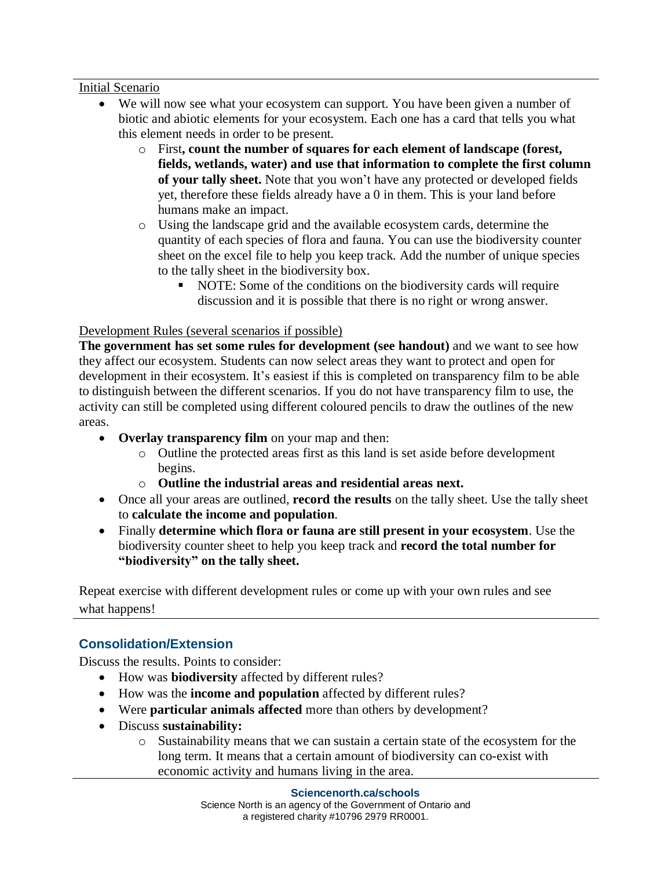#### Initial Scenario

- We will now see what your ecosystem can support. You have been given a number of biotic and abiotic elements for your ecosystem. Each one has a card that tells you what this element needs in order to be present.
	- o First**, count the number of squares for each element of landscape (forest, fields, wetlands, water) and use that information to complete the first column of your tally sheet.** Note that you won't have any protected or developed fields yet, therefore these fields already have a 0 in them. This is your land before humans make an impact.
	- o Using the landscape grid and the available ecosystem cards, determine the quantity of each species of flora and fauna. You can use the biodiversity counter sheet on the excel file to help you keep track. Add the number of unique species to the tally sheet in the biodiversity box.
		- NOTE: Some of the conditions on the biodiversity cards will require discussion and it is possible that there is no right or wrong answer.

## Development Rules (several scenarios if possible)

**The government has set some rules for development (see handout)** and we want to see how they affect our ecosystem. Students can now select areas they want to protect and open for development in their ecosystem. It's easiest if this is completed on transparency film to be able to distinguish between the different scenarios. If you do not have transparency film to use, the activity can still be completed using different coloured pencils to draw the outlines of the new areas.

- **Overlay transparency film** on your map and then:
	- o Outline the protected areas first as this land is set aside before development begins.
	- o **Outline the industrial areas and residential areas next.**
- Once all your areas are outlined, **record the results** on the tally sheet. Use the tally sheet to **calculate the income and population**.
- Finally **determine which flora or fauna are still present in your ecosystem**. Use the biodiversity counter sheet to help you keep track and **record the total number for "biodiversity" on the tally sheet.**

Repeat exercise with different development rules or come up with your own rules and see what happens!

## **Consolidation/Extension**

Discuss the results. Points to consider:

- How was **biodiversity** affected by different rules?
- How was the **income and population** affected by different rules?
- Were **particular animals affected** more than others by development?
- Discuss **sustainability:**
	- o Sustainability means that we can sustain a certain state of the ecosystem for the long term. It means that a certain amount of biodiversity can co-exist with economic activity and humans living in the area.

#### **Sciencenorth.ca/schools**